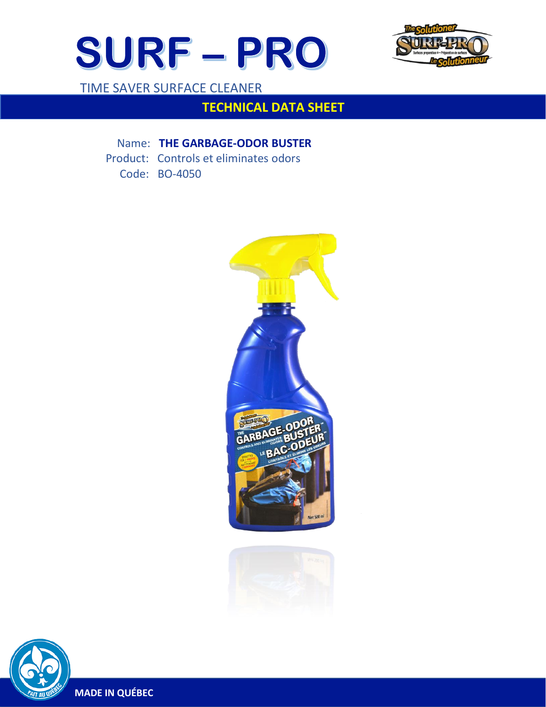



TIME SAVER SURFACE CLEANER

# **TECHNICAL DATA SHEET**

Name: **THE GARBAGE-ODOR BUSTER**

Product: Controls et eliminates odors

Code: BO-4050